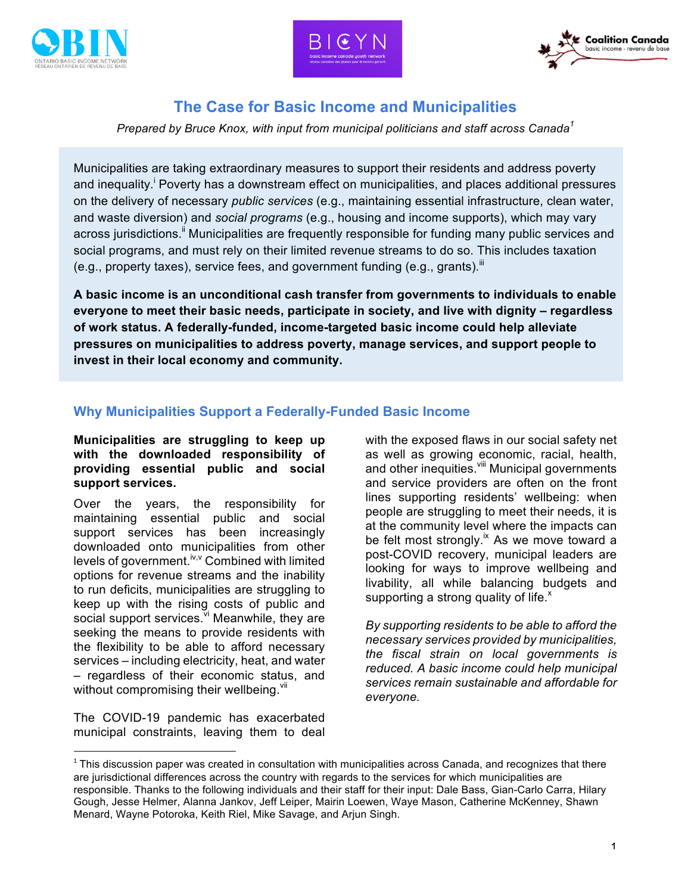





# **The Case for Basic Income and Municipalities**

*Prepared by Bruce Knox, with input from municipal politicians and staff across Canada<sup>1</sup>*

Municipalities are taking extraordinary measures to support their residents and address poverty and inequality.<sup>i</sup> Poverty has a downstream effect on municipalities, and places additional pressures on the delivery of necessary *public services* (e.g., maintaining essential infrastructure, clean water, and waste diversion) and *social programs* (e.g., housing and income supports), which may vary across jurisdictions.<sup>ii</sup> Municipalities are frequently responsible for funding many public services and social programs, and must rely on their limited revenue streams to do so. This includes taxation (e.g., property taxes), service fees, and government funding (e.g., grants).<sup>III</sup>

**A basic income is an unconditional cash transfer from governments to individuals to enable everyone to meet their basic needs, participate in society, and live with dignity – regardless of work status. A federally-funded, income-targeted basic income could help alleviate pressures on municipalities to address poverty, manage services, and support people to invest in their local economy and community.**

# **Why Municipalities Support a Federally-Funded Basic Income**

#### **Municipalities are struggling to keep up with the downloaded responsibility of providing essential public and social support services.**

Over the years, the responsibility for maintaining essential public and social support services has been increasingly downloaded onto municipalities from other levels of government.<sup>iv,v</sup> Combined with limited options for revenue streams and the inability to run deficits, municipalities are struggling to keep up with the rising costs of public and social support services. V Meanwhile, they are seeking the means to provide residents with the flexibility to be able to afford necessary services – including electricity, heat, and water – regardless of their economic status, and without compromising their wellbeing. Vil

The COVID-19 pandemic has exacerbated municipal constraints, leaving them to deal

 $\overline{a}$ 

with the exposed flaws in our social safety net as well as growing economic, racial, health, and other inequities. Vill Municipal governments and service providers are often on the front lines supporting residents' wellbeing: when people are struggling to meet their needs, it is at the community level where the impacts can be felt most strongly.<sup>ix</sup> As we move toward a post-COVID recovery, municipal leaders are looking for ways to improve wellbeing and livability, all while balancing budgets and supporting a strong quality of life.<sup>x</sup>

*By supporting residents to be able to afford the necessary services provided by municipalities, the fiscal strain on local governments is reduced. A basic income could help municipal services remain sustainable and affordable for everyone.*

 $1$  This discussion paper was created in consultation with municipalities across Canada, and recognizes that there are jurisdictional differences across the country with regards to the services for which municipalities are responsible. Thanks to the following individuals and their staff for their input: Dale Bass, Gian-Carlo Carra, Hilary Gough, Jesse Helmer, Alanna Jankov, Jeff Leiper, Mairin Loewen, Waye Mason, Catherine McKenney, Shawn Menard, Wayne Potoroka, Keith Riel, Mike Savage, and Arjun Singh.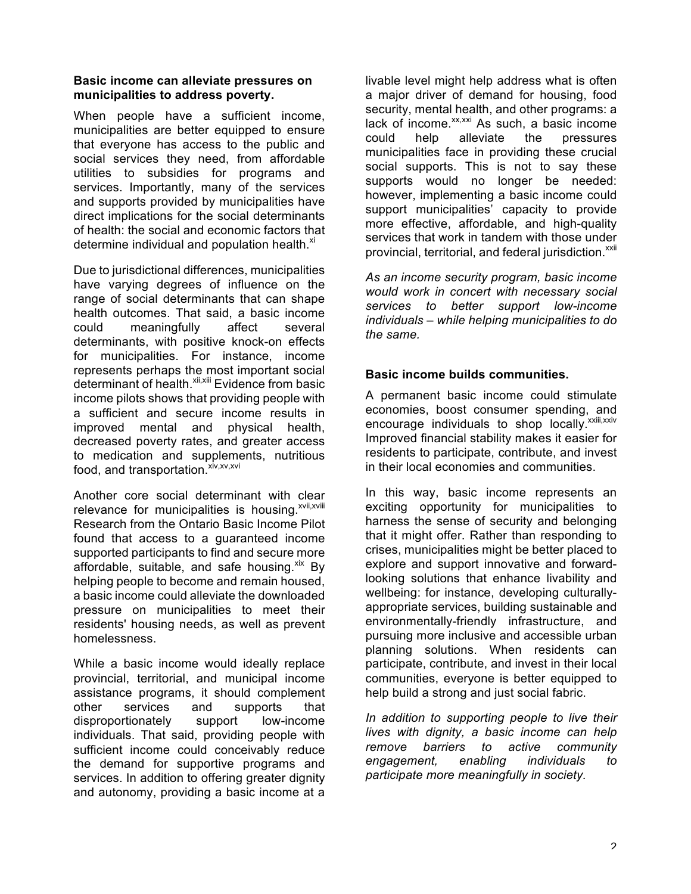## **Basic income can alleviate pressures on municipalities to address poverty.**

When people have a sufficient income, municipalities are better equipped to ensure that everyone has access to the public and social services they need, from affordable utilities to subsidies for programs and services. Importantly, many of the services and supports provided by municipalities have direct implications for the social determinants of health: the social and economic factors that determine individual and population health. ${}^{xi}$ 

Due to jurisdictional differences, municipalities have varying degrees of influence on the range of social determinants that can shape health outcomes. That said, a basic income could meaningfully affect several determinants, with positive knock-on effects for municipalities. For instance, income represents perhaps the most important social determinant of health.<sup>xii,xiii</sup> Evidence from basic income pilots shows that providing people with a sufficient and secure income results in improved mental and physical health, decreased poverty rates, and greater access to medication and supplements, nutritious food, and transportation.<sup>xiv,xv,xvi</sup>

Another core social determinant with clear relevance for municipalities is housing. $x$ <sup>xvii,xviii</sup> Research from the Ontario Basic Income Pilot found that access to a guaranteed income supported participants to find and secure more affordable, suitable, and safe housing. $x^{ik}$  By helping people to become and remain housed, a basic income could alleviate the downloaded pressure on municipalities to meet their residents' housing needs, as well as prevent homelessness.

While a basic income would ideally replace provincial, territorial, and municipal income assistance programs, it should complement other services and supports that disproportionately support low-income individuals. That said, providing people with sufficient income could conceivably reduce the demand for supportive programs and services. In addition to offering greater dignity and autonomy, providing a basic income at a livable level might help address what is often a major driver of demand for housing, food security, mental health, and other programs: a lack of income. $x_{x,x}$ <sub>xx</sub> As such, a basic income could help alleviate the pressures municipalities face in providing these crucial social supports. This is not to say these supports would no longer be needed: however, implementing a basic income could support municipalities' capacity to provide more effective, affordable, and high-quality services that work in tandem with those under provincial, territorial, and federal jurisdiction.<sup>xxii</sup>

*As an income security program, basic income would work in concert with necessary social services to better support low-income individuals – while helping municipalities to do the same.*

### **Basic income builds communities.**

A permanent basic income could stimulate economies, boost consumer spending, and encourage individuals to shop locally. XXIII, XXIV Improved financial stability makes it easier for residents to participate, contribute, and invest in their local economies and communities.

In this way, basic income represents an exciting opportunity for municipalities to harness the sense of security and belonging that it might offer. Rather than responding to crises, municipalities might be better placed to explore and support innovative and forwardlooking solutions that enhance livability and wellbeing: for instance, developing culturallyappropriate services, building sustainable and environmentally-friendly infrastructure, and pursuing more inclusive and accessible urban planning solutions. When residents can participate, contribute, and invest in their local communities, everyone is better equipped to help build a strong and just social fabric.

*In addition to supporting people to live their lives with dignity, a basic income can help remove barriers to active community engagement, enabling individuals to participate more meaningfully in society.*